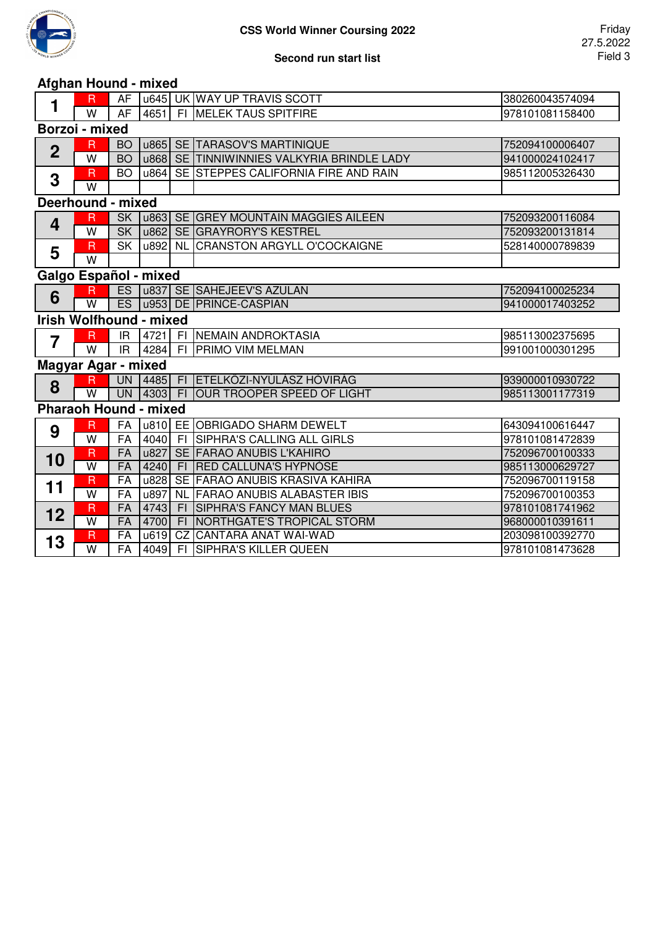

## **Second run start list**

## **Afghan Hound - mixed**

| 1                              | $\overline{R}$               | AF              |      |      | u645 UK WAY UP TRAVIS SCOTT                | 380260043574094 |  |  |  |  |
|--------------------------------|------------------------------|-----------------|------|------|--------------------------------------------|-----------------|--|--|--|--|
|                                | W                            | <b>AF</b>       | 4651 |      | FI MELEK TAUS SPITFIRE                     | 978101081158400 |  |  |  |  |
| Borzoi - mixed                 |                              |                 |      |      |                                            |                 |  |  |  |  |
| $\mathbf 2$                    | R                            | <b>BO</b>       |      |      | u865 SE TARASOV'S MARTINIQUE               | 752094100006407 |  |  |  |  |
|                                | W                            | <b>BO</b>       |      |      | u868 SE TINNIWINNIES VALKYRIA BRINDLE LADY | 941000024102417 |  |  |  |  |
| 3                              | $\overline{\mathsf{R}}$      | <b>BO</b>       | u864 |      | SE STEPPES CALIFORNIA FIRE AND RAIN        | 985112005326430 |  |  |  |  |
|                                | W                            |                 |      |      |                                            |                 |  |  |  |  |
| Deerhound - mixed              |                              |                 |      |      |                                            |                 |  |  |  |  |
| 4                              | R                            | <b>SK</b>       |      |      | U863 SE GREY MOUNTAIN MAGGIES AILEEN       | 752093200116084 |  |  |  |  |
|                                | $\overline{\mathsf{w}}$      | SK              | u862 |      | SE GRAYRORY'S KESTREL                      | 752093200131814 |  |  |  |  |
| 5                              | $\overline{R}$               | <b>SK</b>       | u892 |      | NL CRANSTON ARGYLL O'COCKAIGNE             | 528140000789839 |  |  |  |  |
|                                | W                            |                 |      |      |                                            |                 |  |  |  |  |
| Galgo Español - mixed          |                              |                 |      |      |                                            |                 |  |  |  |  |
| 6                              | $\mathsf R$                  |                 |      |      | ES   u837 SE SAHEJEEV'S AZULAN             | 752094100025234 |  |  |  |  |
|                                | $\overline{\mathsf{W}}$      | ES              |      |      | u953 DE PRINCE-CASPIAN                     | 941000017403252 |  |  |  |  |
| <b>Irish Wolfhound - mixed</b> |                              |                 |      |      |                                            |                 |  |  |  |  |
| 7                              | $\overline{\mathsf{R}}$      | IR.             | 4721 | - FI | NEMAIN ANDROKTASIA                         | 985113002375695 |  |  |  |  |
|                                | W                            | IR.             | 4284 |      | FI PRIMO VIM MELMAN                        | 991001000301295 |  |  |  |  |
| Magyar Agar - mixed            |                              |                 |      |      |                                            |                 |  |  |  |  |
| 8                              | $\overline{\mathsf{R}}$      | <b>UN</b>       |      |      | 4485 FI ETELKÖZI-NYÚLÁSZ HÓVIRÁG           | 939000010930722 |  |  |  |  |
|                                | $\overline{\mathsf{W}}$      | <b>UN</b>       |      |      | 4303 FI OUR TROOPER SPEED OF LIGHT         | 985113001177319 |  |  |  |  |
|                                | <b>Pharaoh Hound - mixed</b> |                 |      |      |                                            |                 |  |  |  |  |
|                                | $\overline{\mathsf{R}}$      | FA              |      |      | u810 EE OBRIGADO SHARM DEWELT              | 643094100616447 |  |  |  |  |
| 9                              | $\overline{W}$               | FA              | 4040 | F1   | SIPHRA'S CALLING ALL GIRLS                 | 978101081472839 |  |  |  |  |
| 10                             | $\overline{\mathsf{R}}$      | <b>FA</b>       | u827 |      | SE FARAO ANUBIS L'KAHIRO                   | 752096700100333 |  |  |  |  |
|                                | $\overline{\mathsf{W}}$      | <b>FA</b>       | 4240 | F1   | <b>RED CALLUNA'S HYPNOSE</b>               | 985113000629727 |  |  |  |  |
| 11                             | $\overline{R}$               | FA              | u828 |      | SE FARAO ANUBIS KRASIVA KAHIRA             | 752096700119158 |  |  |  |  |
|                                | $\overline{\mathsf{w}}$      | FA              | u897 |      | NL FARAO ANUBIS ALABASTER IBIS             | 752096700100353 |  |  |  |  |
| 12                             | $\overline{R}$               | <b>FA</b>       | 4743 | F1   | <b>SIPHRA'S FANCY MAN BLUES</b>            | 978101081741962 |  |  |  |  |
|                                | $\overline{W}$               | <b>FA</b>       | 4700 |      | FI NORTHGATE'S TROPICAL STORM              | 968000010391611 |  |  |  |  |
| 13                             | $\overline{R}$               | FA              | u619 | CZ   | <b>CANTARA ANAT WAI-WAD</b>                | 203098100392770 |  |  |  |  |
|                                | $\overline{\mathsf{W}}$      | $\overline{FA}$ | 4049 |      | FI SIPHRA'S KILLER QUEEN                   | 978101081473628 |  |  |  |  |